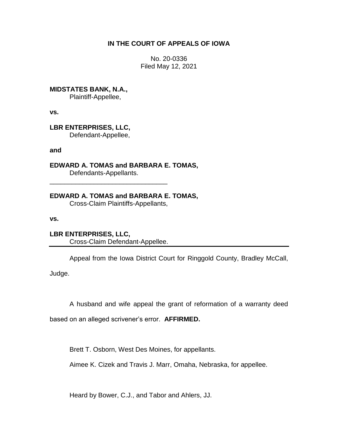# **IN THE COURT OF APPEALS OF IOWA**

No. 20-0336 Filed May 12, 2021

**MIDSTATES BANK, N.A.,**

Plaintiff-Appellee,

**vs.**

**LBR ENTERPRISES, LLC,** Defendant-Appellee,

**and**

**EDWARD A. TOMAS and BARBARA E. TOMAS,** Defendants-Appellants.

**EDWARD A. TOMAS and BARBARA E. TOMAS,** Cross-Claim Plaintiffs-Appellants,

**vs.**

**LBR ENTERPRISES, LLC,** Cross-Claim Defendant-Appellee.

\_\_\_\_\_\_\_\_\_\_\_\_\_\_\_\_\_\_\_\_\_\_\_\_\_\_\_\_\_\_\_\_

Appeal from the Iowa District Court for Ringgold County, Bradley McCall,

Judge.

A husband and wife appeal the grant of reformation of a warranty deed

based on an alleged scrivener's error. **AFFIRMED.**

Brett T. Osborn, West Des Moines, for appellants.

Aimee K. Cizek and Travis J. Marr, Omaha, Nebraska, for appellee.

Heard by Bower, C.J., and Tabor and Ahlers, JJ.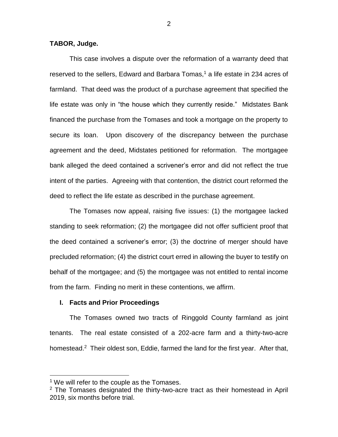**TABOR, Judge.**

This case involves a dispute over the reformation of a warranty deed that reserved to the sellers, Edward and Barbara Tomas, $<sup>1</sup>$  a life estate in 234 acres of</sup> farmland. That deed was the product of a purchase agreement that specified the life estate was only in "the house which they currently reside." Midstates Bank financed the purchase from the Tomases and took a mortgage on the property to secure its loan. Upon discovery of the discrepancy between the purchase agreement and the deed, Midstates petitioned for reformation. The mortgagee bank alleged the deed contained a scrivener's error and did not reflect the true intent of the parties. Agreeing with that contention, the district court reformed the deed to reflect the life estate as described in the purchase agreement.

The Tomases now appeal, raising five issues: (1) the mortgagee lacked standing to seek reformation; (2) the mortgagee did not offer sufficient proof that the deed contained a scrivener's error; (3) the doctrine of merger should have precluded reformation; (4) the district court erred in allowing the buyer to testify on behalf of the mortgagee; and (5) the mortgagee was not entitled to rental income from the farm. Finding no merit in these contentions, we affirm.

#### **I. Facts and Prior Proceedings**

The Tomases owned two tracts of Ringgold County farmland as joint tenants. The real estate consisted of a 202-acre farm and a thirty-two-acre homestead.<sup>2</sup> Their oldest son, Eddie, farmed the land for the first year. After that,

<sup>&</sup>lt;sup>1</sup> We will refer to the couple as the Tomases.

 $2$  The Tomases designated the thirty-two-acre tract as their homestead in April 2019, six months before trial.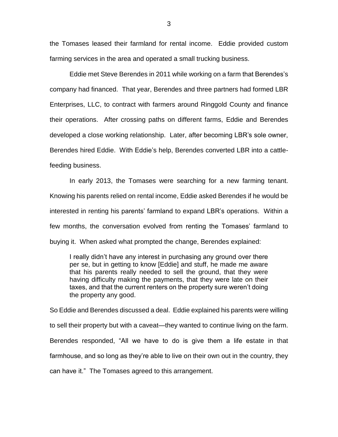the Tomases leased their farmland for rental income. Eddie provided custom farming services in the area and operated a small trucking business.

Eddie met Steve Berendes in 2011 while working on a farm that Berendes's company had financed. That year, Berendes and three partners had formed LBR Enterprises, LLC, to contract with farmers around Ringgold County and finance their operations. After crossing paths on different farms, Eddie and Berendes developed a close working relationship. Later, after becoming LBR's sole owner, Berendes hired Eddie. With Eddie's help, Berendes converted LBR into a cattlefeeding business.

In early 2013, the Tomases were searching for a new farming tenant. Knowing his parents relied on rental income, Eddie asked Berendes if he would be interested in renting his parents' farmland to expand LBR's operations. Within a few months, the conversation evolved from renting the Tomases' farmland to buying it. When asked what prompted the change, Berendes explained:

I really didn't have any interest in purchasing any ground over there per se, but in getting to know [Eddie] and stuff, he made me aware that his parents really needed to sell the ground, that they were having difficulty making the payments, that they were late on their taxes, and that the current renters on the property sure weren't doing the property any good.

So Eddie and Berendes discussed a deal. Eddie explained his parents were willing to sell their property but with a caveat—they wanted to continue living on the farm. Berendes responded, "All we have to do is give them a life estate in that farmhouse, and so long as they're able to live on their own out in the country, they can have it." The Tomases agreed to this arrangement.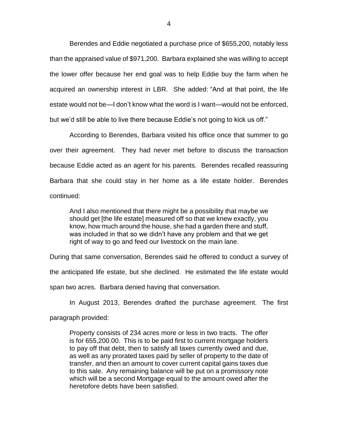Berendes and Eddie negotiated a purchase price of \$655,200, notably less than the appraised value of \$971,200. Barbara explained she was willing to accept the lower offer because her end goal was to help Eddie buy the farm when he acquired an ownership interest in LBR. She added: "And at that point, the life estate would not be—I don't know what the word is I want—would not be enforced, but we'd still be able to live there because Eddie's not going to kick us off."

According to Berendes, Barbara visited his office once that summer to go over their agreement. They had never met before to discuss the transaction because Eddie acted as an agent for his parents. Berendes recalled reassuring Barbara that she could stay in her home as a life estate holder. Berendes continued:

And I also mentioned that there might be a possibility that maybe we should get [the life estate] measured off so that we knew exactly, you know, how much around the house, she had a garden there and stuff, was included in that so we didn't have any problem and that we get right of way to go and feed our livestock on the main lane.

During that same conversation, Berendes said he offered to conduct a survey of the anticipated life estate, but she declined. He estimated the life estate would span two acres. Barbara denied having that conversation.

In August 2013, Berendes drafted the purchase agreement. The first paragraph provided:

Property consists of 234 acres more or less in two tracts. The offer is for 655,200.00. This is to be paid first to current mortgage holders to pay off that debt, then to satisfy all taxes currently owed and due, as well as any prorated taxes paid by seller of property to the date of transfer, and then an amount to cover current capital gains taxes due to this sale. Any remaining balance will be put on a promissory note which will be a second Mortgage equal to the amount owed after the heretofore debts have been satisfied.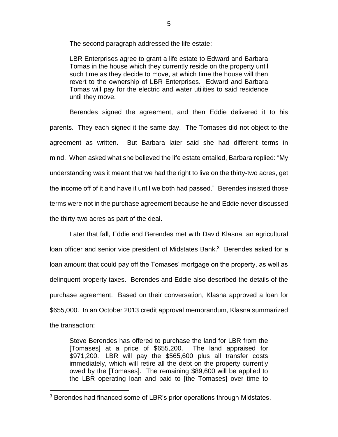The second paragraph addressed the life estate:

LBR Enterprises agree to grant a life estate to Edward and Barbara Tomas in the house which they currently reside on the property until such time as they decide to move, at which time the house will then revert to the ownership of LBR Enterprises. Edward and Barbara Tomas will pay for the electric and water utilities to said residence until they move.

Berendes signed the agreement, and then Eddie delivered it to his parents. They each signed it the same day. The Tomases did not object to the agreement as written. But Barbara later said she had different terms in mind. When asked what she believed the life estate entailed, Barbara replied: "My understanding was it meant that we had the right to live on the thirty-two acres, get the income off of it and have it until we both had passed." Berendes insisted those terms were not in the purchase agreement because he and Eddie never discussed the thirty-two acres as part of the deal.

Later that fall, Eddie and Berendes met with David Klasna, an agricultural loan officer and senior vice president of Midstates Bank.<sup>3</sup> Berendes asked for a loan amount that could pay off the Tomases' mortgage on the property, as well as delinquent property taxes. Berendes and Eddie also described the details of the purchase agreement. Based on their conversation, Klasna approved a loan for \$655,000. In an October 2013 credit approval memorandum, Klasna summarized the transaction:

Steve Berendes has offered to purchase the land for LBR from the [Tomases] at a price of \$655,200. The land appraised for \$971,200. LBR will pay the \$565,600 plus all transfer costs immediately, which will retire all the debt on the property currently owed by the [Tomases]. The remaining \$89,600 will be applied to the LBR operating loan and paid to [the Tomases] over time to

<sup>3</sup> Berendes had financed some of LBR's prior operations through Midstates.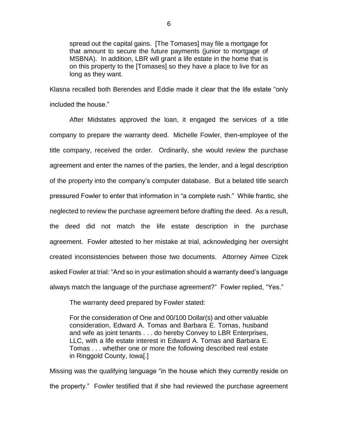spread out the capital gains. [The Tomases] may file a mortgage for that amount to secure the future payments (junior to mortgage of MSBNA). In addition, LBR will grant a life estate in the home that is on this property to the [Tomases] so they have a place to live for as long as they want.

Klasna recalled both Berendes and Eddie made it clear that the life estate "only included the house."

After Midstates approved the loan, it engaged the services of a title company to prepare the warranty deed. Michelle Fowler, then-employee of the title company, received the order. Ordinarily, she would review the purchase agreement and enter the names of the parties, the lender, and a legal description of the property into the company's computer database. But a belated title search pressured Fowler to enter that information in "a complete rush." While frantic, she neglected to review the purchase agreement before drafting the deed. As a result, the deed did not match the life estate description in the purchase agreement. Fowler attested to her mistake at trial, acknowledging her oversight created inconsistencies between those two documents. Attorney Aimee Cizek asked Fowler at trial: "And so in your estimation should a warranty deed's language always match the language of the purchase agreement?" Fowler replied, "Yes."

The warranty deed prepared by Fowler stated:

For the consideration of One and 00/100 Dollar(s) and other valuable consideration, Edward A. Tomas and Barbara E. Tomas, husband and wife as joint tenants . . . do hereby Convey to LBR Enterprises, LLC, with a life estate interest in Edward A. Tomas and Barbara E. Tomas . . . whether one or more the following described real estate in Ringgold County, Iowa[.]

Missing was the qualifying language "in the house which they currently reside on the property." Fowler testified that if she had reviewed the purchase agreement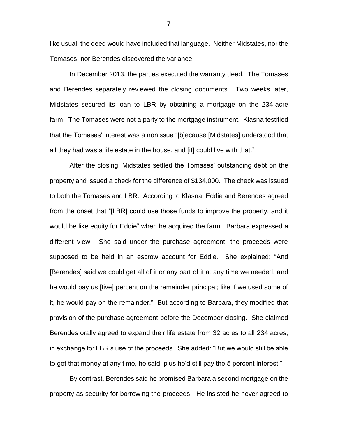like usual, the deed would have included that language. Neither Midstates, nor the Tomases, nor Berendes discovered the variance.

In December 2013, the parties executed the warranty deed. The Tomases and Berendes separately reviewed the closing documents. Two weeks later, Midstates secured its loan to LBR by obtaining a mortgage on the 234-acre farm. The Tomases were not a party to the mortgage instrument. Klasna testified that the Tomases' interest was a nonissue "[b]ecause [Midstates] understood that all they had was a life estate in the house, and [it] could live with that."

After the closing, Midstates settled the Tomases' outstanding debt on the property and issued a check for the difference of \$134,000. The check was issued to both the Tomases and LBR. According to Klasna, Eddie and Berendes agreed from the onset that "[LBR] could use those funds to improve the property, and it would be like equity for Eddie" when he acquired the farm. Barbara expressed a different view. She said under the purchase agreement, the proceeds were supposed to be held in an escrow account for Eddie. She explained: "And [Berendes] said we could get all of it or any part of it at any time we needed, and he would pay us [five] percent on the remainder principal; like if we used some of it, he would pay on the remainder." But according to Barbara, they modified that provision of the purchase agreement before the December closing. She claimed Berendes orally agreed to expand their life estate from 32 acres to all 234 acres, in exchange for LBR's use of the proceeds. She added: "But we would still be able to get that money at any time, he said, plus he'd still pay the 5 percent interest."

By contrast, Berendes said he promised Barbara a second mortgage on the property as security for borrowing the proceeds. He insisted he never agreed to

7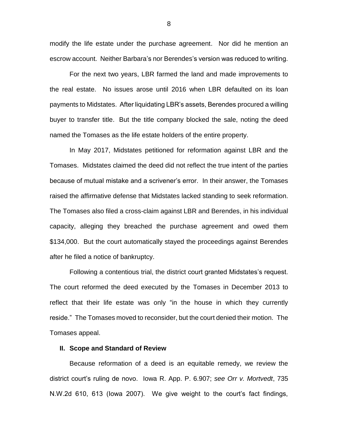modify the life estate under the purchase agreement. Nor did he mention an escrow account. Neither Barbara's nor Berendes's version was reduced to writing.

For the next two years, LBR farmed the land and made improvements to the real estate. No issues arose until 2016 when LBR defaulted on its loan payments to Midstates. After liquidating LBR's assets, Berendes procured a willing buyer to transfer title. But the title company blocked the sale, noting the deed named the Tomases as the life estate holders of the entire property.

In May 2017, Midstates petitioned for reformation against LBR and the Tomases. Midstates claimed the deed did not reflect the true intent of the parties because of mutual mistake and a scrivener's error. In their answer, the Tomases raised the affirmative defense that Midstates lacked standing to seek reformation. The Tomases also filed a cross-claim against LBR and Berendes, in his individual capacity, alleging they breached the purchase agreement and owed them \$134,000. But the court automatically stayed the proceedings against Berendes after he filed a notice of bankruptcy.

Following a contentious trial, the district court granted Midstates's request. The court reformed the deed executed by the Tomases in December 2013 to reflect that their life estate was only "in the house in which they currently reside." The Tomases moved to reconsider, but the court denied their motion. The Tomases appeal.

#### **II. Scope and Standard of Review**

Because reformation of a deed is an equitable remedy, we review the district court's ruling de novo. Iowa R. App. P. 6.907; *see Orr v. Mortvedt*, 735 N.W.2d 610, 613 (Iowa 2007). We give weight to the court's fact findings,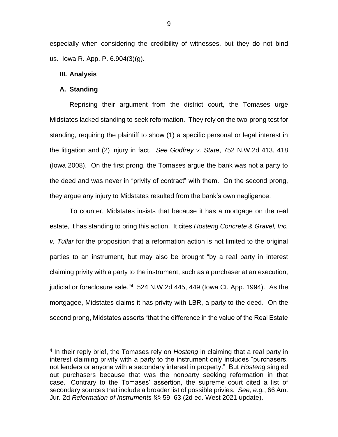especially when considering the credibility of witnesses, but they do not bind us. Iowa R. App. P. 6.904(3)(g).

## **III. Analysis**

## **A. Standing**

 $\overline{a}$ 

Reprising their argument from the district court, the Tomases urge Midstates lacked standing to seek reformation. They rely on the two-prong test for standing, requiring the plaintiff to show (1) a specific personal or legal interest in the litigation and (2) injury in fact. *See Godfrey v. State*, 752 N.W.2d 413, 418 (Iowa 2008). On the first prong, the Tomases argue the bank was not a party to the deed and was never in "privity of contract" with them. On the second prong, they argue any injury to Midstates resulted from the bank's own negligence.

To counter, Midstates insists that because it has a mortgage on the real estate, it has standing to bring this action. It cites *Hosteng Concrete & Gravel, Inc. v. Tullar* for the proposition that a reformation action is not limited to the original parties to an instrument, but may also be brought "by a real party in interest claiming privity with a party to the instrument, such as a purchaser at an execution, judicial or foreclosure sale."<sup>4</sup> 524 N.W.2d 445, 449 (Iowa Ct. App. 1994). As the mortgagee, Midstates claims it has privity with LBR, a party to the deed. On the second prong, Midstates asserts "that the difference in the value of the Real Estate

<sup>4</sup> In their reply brief, the Tomases rely on *Hosteng* in claiming that a real party in interest claiming privity with a party to the instrument only includes "purchasers, not lenders or anyone with a secondary interest in property." But *Hosteng* singled out purchasers because that was the nonparty seeking reformation in that case. Contrary to the Tomases' assertion, the supreme court cited a list of secondary sources that include a broader list of possible privies. *See, e.g.*, 66 Am. Jur. 2d *Reformation of Instruments* §§ 59–63 (2d ed. West 2021 update).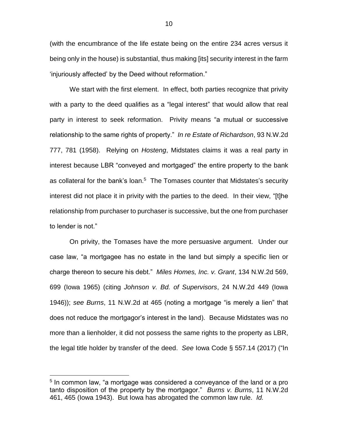(with the encumbrance of the life estate being on the entire 234 acres versus it being only in the house) is substantial, thus making [its] security interest in the farm 'injuriously affected' by the Deed without reformation."

We start with the first element. In effect, both parties recognize that privity with a party to the deed qualifies as a "legal interest" that would allow that real party in interest to seek reformation. Privity means "a mutual or successive relationship to the same rights of property." *In re Estate of Richardson*, 93 N.W.2d 777, 781 (1958). Relying on *Hosteng*, Midstates claims it was a real party in interest because LBR "conveyed and mortgaged" the entire property to the bank as collateral for the bank's loan.<sup>5</sup> The Tomases counter that Midstates's security interest did not place it in privity with the parties to the deed. In their view, "[t]he relationship from purchaser to purchaser is successive, but the one from purchaser to lender is not."

On privity, the Tomases have the more persuasive argument. Under our case law, "a mortgagee has no estate in the land but simply a specific lien or charge thereon to secure his debt." *Miles Homes, Inc. v. Grant*, 134 N.W.2d 569, 699 (Iowa 1965) (citing *Johnson v. Bd. of Supervisors*, 24 N.W.2d 449 (Iowa 1946)); *see Burns*, 11 N.W.2d at 465 (noting a mortgage "is merely a lien" that does not reduce the mortgagor's interest in the land). Because Midstates was no more than a lienholder, it did not possess the same rights to the property as LBR, the legal title holder by transfer of the deed. *See* Iowa Code § 557.14 (2017) ("In

<sup>&</sup>lt;sup>5</sup> In common law, "a mortgage was considered a conveyance of the land or a pro tanto disposition of the property by the mortgagor." *Burns v. Burns*, 11 N.W.2d 461, 465 (Iowa 1943). But Iowa has abrogated the common law rule. *Id.*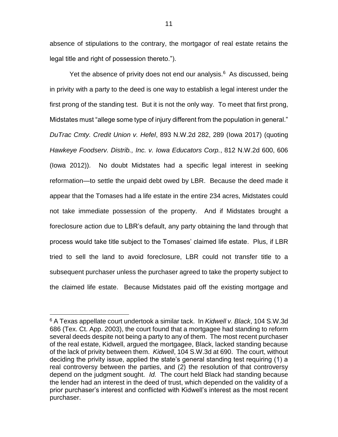absence of stipulations to the contrary, the mortgagor of real estate retains the legal title and right of possession thereto.").

Yet the absence of privity does not end our analysis. $6$  As discussed, being in privity with a party to the deed is one way to establish a legal interest under the first prong of the standing test. But it is not the only way. To meet that first prong, Midstates must "allege some type of injury different from the population in general." *DuTrac Cmty. Credit Union v. Hefel*, 893 N.W.2d 282, 289 (Iowa 2017) (quoting *Hawkeye Foodserv. Distrib., Inc. v. Iowa Educators Corp.*, 812 N.W.2d 600, 606 (Iowa 2012)). No doubt Midstates had a specific legal interest in seeking reformation—to settle the unpaid debt owed by LBR. Because the deed made it appear that the Tomases had a life estate in the entire 234 acres, Midstates could not take immediate possession of the property. And if Midstates brought a foreclosure action due to LBR's default, any party obtaining the land through that process would take title subject to the Tomases' claimed life estate. Plus, if LBR tried to sell the land to avoid foreclosure, LBR could not transfer title to a subsequent purchaser unless the purchaser agreed to take the property subject to the claimed life estate. Because Midstates paid off the existing mortgage and

<sup>6</sup> A Texas appellate court undertook a similar tack. In *Kidwell v. Black*, 104 S.W.3d 686 (Tex. Ct. App. 2003), the court found that a mortgagee had standing to reform several deeds despite not being a party to any of them. The most recent purchaser of the real estate, Kidwell, argued the mortgagee, Black, lacked standing because of the lack of privity between them. *Kidwell*, 104 S.W.3d at 690. The court, without deciding the privity issue, applied the state's general standing test requiring (1) a real controversy between the parties, and (2) the resolution of that controversy depend on the judgment sought. *Id.* The court held Black had standing because the lender had an interest in the deed of trust, which depended on the validity of a prior purchaser's interest and conflicted with Kidwell's interest as the most recent purchaser.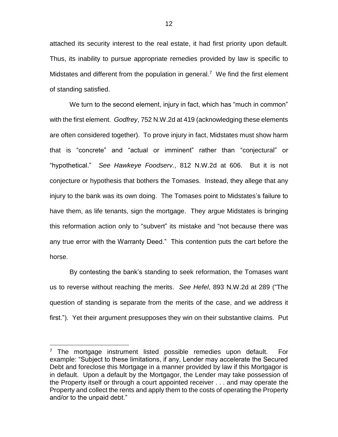attached its security interest to the real estate, it had first priority upon default. Thus, its inability to pursue appropriate remedies provided by law is specific to Midstates and different from the population in general.<sup>7</sup> We find the first element of standing satisfied.

We turn to the second element, injury in fact, which has "much in common" with the first element. *Godfrey*, 752 N.W.2d at 419 (acknowledging these elements are often considered together). To prove injury in fact, Midstates must show harm that is "concrete" and "actual or imminent" rather than "conjectural" or "hypothetical." *See Hawkeye Foodserv.*, 812 N.W.2d at 606. But it is not conjecture or hypothesis that bothers the Tomases. Instead, they allege that any injury to the bank was its own doing. The Tomases point to Midstates's failure to have them, as life tenants, sign the mortgage. They argue Midstates is bringing this reformation action only to "subvert" its mistake and "not because there was any true error with the Warranty Deed." This contention puts the cart before the horse.

By contesting the bank's standing to seek reformation, the Tomases want us to reverse without reaching the merits. *See Hefel*, 893 N.W.2d at 289 ("The question of standing is separate from the merits of the case, and we address it first."). Yet their argument presupposes they win on their substantive claims. Put

 $7$  The mortgage instrument listed possible remedies upon default. For example: "Subject to these limitations, if any, Lender may accelerate the Secured Debt and foreclose this Mortgage in a manner provided by law if this Mortgagor is in default. Upon a default by the Mortgagor, the Lender may take possession of the Property itself or through a court appointed receiver . . . and may operate the Property and collect the rents and apply them to the costs of operating the Property and/or to the unpaid debt."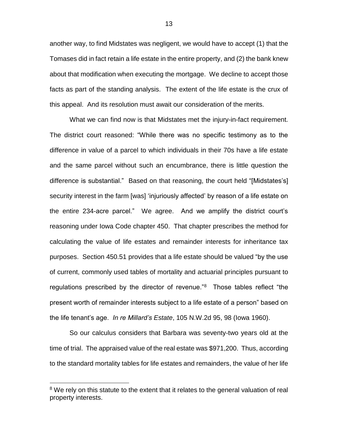another way, to find Midstates was negligent, we would have to accept (1) that the Tomases did in fact retain a life estate in the entire property, and (2) the bank knew about that modification when executing the mortgage. We decline to accept those facts as part of the standing analysis. The extent of the life estate is the crux of this appeal. And its resolution must await our consideration of the merits.

What we can find now is that Midstates met the injury-in-fact requirement. The district court reasoned: "While there was no specific testimony as to the difference in value of a parcel to which individuals in their 70s have a life estate and the same parcel without such an encumbrance, there is little question the difference is substantial." Based on that reasoning, the court held "[Midstates's] security interest in the farm [was] 'injuriously affected' by reason of a life estate on the entire 234-acre parcel." We agree. And we amplify the district court's reasoning under Iowa Code chapter 450. That chapter prescribes the method for calculating the value of life estates and remainder interests for inheritance tax purposes. Section 450.51 provides that a life estate should be valued "by the use of current, commonly used tables of mortality and actuarial principles pursuant to regulations prescribed by the director of revenue."<sup>8</sup> Those tables reflect "the present worth of remainder interests subject to a life estate of a person" based on the life tenant's age. *In re Millard's Estate*, 105 N.W.2d 95, 98 (Iowa 1960).

So our calculus considers that Barbara was seventy-two years old at the time of trial. The appraised value of the real estate was \$971,200. Thus, according to the standard mortality tables for life estates and remainders, the value of her life

<sup>&</sup>lt;sup>8</sup> We rely on this statute to the extent that it relates to the general valuation of real property interests.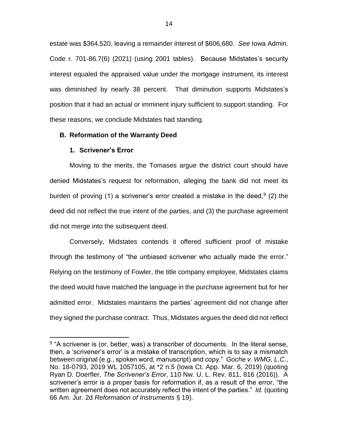estate was \$364,520, leaving a remainder interest of \$606,680. *See* Iowa Admin. Code r. 701-86.7(6) (2021) (using 2001 tables). Because Midstates's security interest equaled the appraised value under the mortgage instrument, its interest was diminished by nearly 38 percent. That diminution supports Midstates's position that it had an actual or imminent injury sufficient to support standing. For these reasons, we conclude Midstates had standing.

# **B. Reformation of the Warranty Deed**

## **1. Scrivener's Error**

 $\overline{a}$ 

Moving to the merits, the Tomases argue the district court should have denied Midstates's request for reformation, alleging the bank did not meet its burden of proving (1) a scrivener's error created a mistake in the deed,  $9(2)$  the deed did not reflect the true intent of the parties, and (3) the purchase agreement did not merge into the subsequent deed.

Conversely, Midstates contends it offered sufficient proof of mistake through the testimony of "the unbiased scrivener who actually made the error." Relying on the testimony of Fowler, the title company employee, Midstates claims the deed would have matched the language in the purchase agreement but for her admitted error. Midstates maintains the parties' agreement did not change after they signed the purchase contract. Thus, Midstates argues the deed did not reflect

<sup>&</sup>lt;sup>9</sup> "A scrivener is (or, better, was) a transcriber of documents. In the literal sense, then, a 'scrivener's error' is a mistake of transcription, which is to say a mismatch between original (e.g., spoken word, manuscript) and copy." *Goche v. WMG, L.C.*, No. 18-0793, 2019 WL 1057105, at \*2 n.5 (Iowa Ct. App. Mar. 6, 2019) (quoting Ryan D. Doerfler, *The Scrivener's Error*, 110 Nw. U. L. Rev. 811, 816 (2016)). A scrivener's error is a proper basis for reformation if, as a result of the error, "the written agreement does not accurately reflect the intent of the parties." *Id.* (quoting 66 Am. Jur. 2d *Reformation of Instruments* § 19).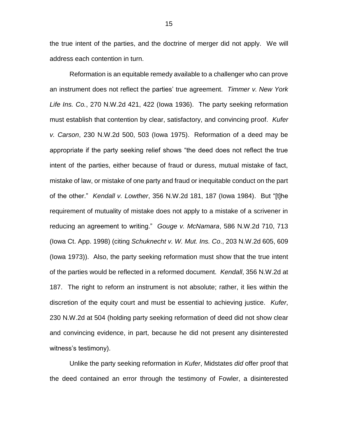the true intent of the parties, and the doctrine of merger did not apply. We will address each contention in turn.

Reformation is an equitable remedy available to a challenger who can prove an instrument does not reflect the parties' true agreement. *Timmer v. New York Life Ins. Co.*, 270 N.W.2d 421, 422 (Iowa 1936). The party seeking reformation must establish that contention by clear, satisfactory, and convincing proof. *Kufer v. Carson*, 230 N.W.2d 500, 503 (Iowa 1975). Reformation of a deed may be appropriate if the party seeking relief shows "the deed does not reflect the true intent of the parties, either because of fraud or duress, mutual mistake of fact, mistake of law, or mistake of one party and fraud or inequitable conduct on the part of the other." *Kendall v. Lowther*, 356 N.W.2d 181, 187 (Iowa 1984). But "[t]he requirement of mutuality of mistake does not apply to a mistake of a scrivener in reducing an agreement to writing." *Gouge v. McNamara*, 586 N.W.2d 710, 713 (Iowa Ct. App. 1998) (citing *Schuknecht v. W. Mut. Ins. Co*., 203 N.W.2d 605, 609 (Iowa 1973)). Also, the party seeking reformation must show that the true intent of the parties would be reflected in a reformed document. *Kendall*, 356 N.W.2d at 187. The right to reform an instrument is not absolute; rather, it lies within the discretion of the equity court and must be essential to achieving justice. *Kufer*, 230 N.W.2d at 504 (holding party seeking reformation of deed did not show clear and convincing evidence, in part, because he did not present any disinterested witness's testimony).

Unlike the party seeking reformation in *Kufer*, Midstates *did* offer proof that the deed contained an error through the testimony of Fowler, a disinterested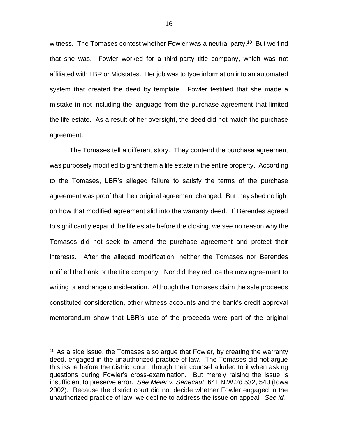witness. The Tomases contest whether Fowler was a neutral party.<sup>10</sup> But we find that she was. Fowler worked for a third-party title company, which was not affiliated with LBR or Midstates. Her job was to type information into an automated system that created the deed by template. Fowler testified that she made a mistake in not including the language from the purchase agreement that limited the life estate. As a result of her oversight, the deed did not match the purchase agreement.

The Tomases tell a different story. They contend the purchase agreement was purposely modified to grant them a life estate in the entire property. According to the Tomases, LBR's alleged failure to satisfy the terms of the purchase agreement was proof that their original agreement changed. But they shed no light on how that modified agreement slid into the warranty deed. If Berendes agreed to significantly expand the life estate before the closing, we see no reason why the Tomases did not seek to amend the purchase agreement and protect their interests. After the alleged modification, neither the Tomases nor Berendes notified the bank or the title company. Nor did they reduce the new agreement to writing or exchange consideration. Although the Tomases claim the sale proceeds constituted consideration, other witness accounts and the bank's credit approval memorandum show that LBR's use of the proceeds were part of the original

 $10$  As a side issue, the Tomases also argue that Fowler, by creating the warranty deed, engaged in the unauthorized practice of law. The Tomases did not argue this issue before the district court, though their counsel alluded to it when asking questions during Fowler's cross-examination. But merely raising the issue is insufficient to preserve error. *See Meier v. Senecaut*, 641 N.W.2d 532, 540 (Iowa 2002). Because the district court did not decide whether Fowler engaged in the unauthorized practice of law, we decline to address the issue on appeal. *See id.*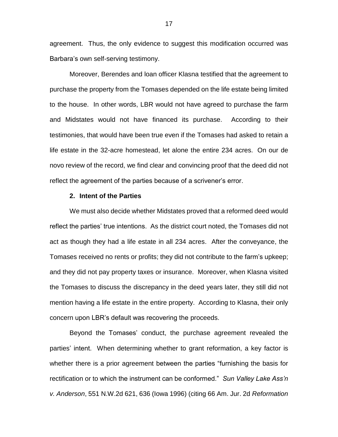agreement. Thus, the only evidence to suggest this modification occurred was Barbara's own self-serving testimony.

Moreover, Berendes and loan officer Klasna testified that the agreement to purchase the property from the Tomases depended on the life estate being limited to the house. In other words, LBR would not have agreed to purchase the farm and Midstates would not have financed its purchase. According to their testimonies, that would have been true even if the Tomases had asked to retain a life estate in the 32-acre homestead, let alone the entire 234 acres. On our de novo review of the record, we find clear and convincing proof that the deed did not reflect the agreement of the parties because of a scrivener's error.

#### **2. Intent of the Parties**

We must also decide whether Midstates proved that a reformed deed would reflect the parties' true intentions. As the district court noted, the Tomases did not act as though they had a life estate in all 234 acres. After the conveyance, the Tomases received no rents or profits; they did not contribute to the farm's upkeep; and they did not pay property taxes or insurance. Moreover, when Klasna visited the Tomases to discuss the discrepancy in the deed years later, they still did not mention having a life estate in the entire property. According to Klasna, their only concern upon LBR's default was recovering the proceeds.

Beyond the Tomases' conduct, the purchase agreement revealed the parties' intent. When determining whether to grant reformation, a key factor is whether there is a prior agreement between the parties "furnishing the basis for rectification or to which the instrument can be conformed." *Sun Valley Lake Ass'n v. Anderson*, 551 N.W.2d 621, 636 (Iowa 1996) (citing 66 Am. Jur. 2d *Reformation*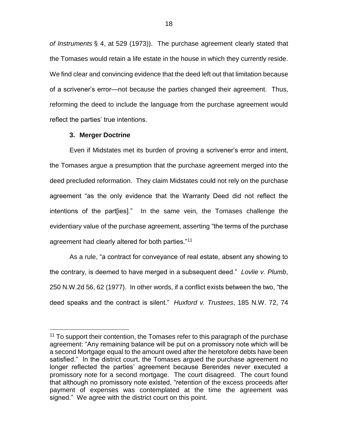*of Instruments* § 4, at 529 (1973)). The purchase agreement clearly stated that the Tomases would retain a life estate in the house in which they currently reside. We find clear and convincing evidence that the deed left out that limitation because of a scrivener's error—not because the parties changed their agreement. Thus, reforming the deed to include the language from the purchase agreement would reflect the parties' true intentions.

# **3. Merger Doctrine**

 $\overline{a}$ 

Even if Midstates met its burden of proving a scrivener's error and intent, the Tomases argue a presumption that the purchase agreement merged into the deed precluded reformation. They claim Midstates could not rely on the purchase agreement "as the only evidence that the Warranty Deed did not reflect the intentions of the part[ies]." In the same vein, the Tomases challenge the evidentiary value of the purchase agreement, asserting "the terms of the purchase agreement had clearly altered for both parties."<sup>11</sup>

As a rule, "a contract for conveyance of real estate, absent any showing to the contrary, is deemed to have merged in a subsequent deed." *Lovlie v. Plumb*, 250 N.W.2d 56, 62 (1977). In other words, if a conflict exists between the two, "the deed speaks and the contract is silent." *Huxford v. Trustees*, 185 N.W. 72, 74

 $11$  To support their contention, the Tomases refer to this paragraph of the purchase agreement: "Any remaining balance will be put on a promissory note which will be a second Mortgage equal to the amount owed after the heretofore debts have been satisfied." In the district court, the Tomases argued the purchase agreement no longer reflected the parties' agreement because Berendes never executed a promissory note for a second mortgage. The court disagreed. The court found that although no promissory note existed, "retention of the excess proceeds after payment of expenses was contemplated at the time the agreement was signed." We agree with the district court on this point.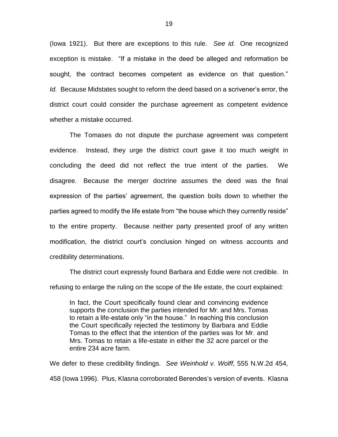(Iowa 1921). But there are exceptions to this rule. *See id.* One recognized exception is mistake. "If a mistake in the deed be alleged and reformation be sought, the contract becomes competent as evidence on that question." *Id.* Because Midstates sought to reform the deed based on a scrivener's error, the district court could consider the purchase agreement as competent evidence whether a mistake occurred.

The Tomases do not dispute the purchase agreement was competent evidence. Instead, they urge the district court gave it too much weight in concluding the deed did not reflect the true intent of the parties. We disagree. Because the merger doctrine assumes the deed was the final expression of the parties' agreement, the question boils down to whether the parties agreed to modify the life estate from "the house which they currently reside" to the entire property. Because neither party presented proof of any written modification, the district court's conclusion hinged on witness accounts and credibility determinations.

The district court expressly found Barbara and Eddie were not credible. In refusing to enlarge the ruling on the scope of the life estate, the court explained:

In fact, the Court specifically found clear and convincing evidence supports the conclusion the parties intended for Mr. and Mrs. Tomas to retain a life-estate only "in the house." In reaching this conclusion the Court specifically rejected the testimony by Barbara and Eddie Tomas to the effect that the intention of the parties was for Mr. and Mrs. Tomas to retain a life-estate in either the 32 acre parcel or the entire 234 acre farm.

We defer to these credibility findings. *See Weinhold v. Wolff*, 555 N.W.2d 454, 458 (Iowa 1996). Plus, Klasna corroborated Berendes's version of events. Klasna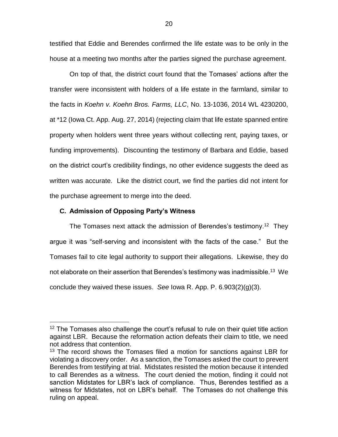testified that Eddie and Berendes confirmed the life estate was to be only in the house at a meeting two months after the parties signed the purchase agreement.

On top of that, the district court found that the Tomases' actions after the transfer were inconsistent with holders of a life estate in the farmland, similar to the facts in *Koehn v. Koehn Bros. Farms, LLC*, No. 13-1036, 2014 WL 4230200, at \*12 (Iowa Ct. App. Aug. 27, 2014) (rejecting claim that life estate spanned entire property when holders went three years without collecting rent, paying taxes, or funding improvements). Discounting the testimony of Barbara and Eddie, based on the district court's credibility findings, no other evidence suggests the deed as written was accurate. Like the district court, we find the parties did not intent for the purchase agreement to merge into the deed.

# **C. Admission of Opposing Party's Witness**

 $\overline{a}$ 

The Tomases next attack the admission of Berendes's testimony.<sup>12</sup> They argue it was "self-serving and inconsistent with the facts of the case." But the Tomases fail to cite legal authority to support their allegations. Likewise, they do not elaborate on their assertion that Berendes's testimony was inadmissible. $^{13}$  We conclude they waived these issues. *See* Iowa R. App. P. 6.903(2)(g)(3).

 $12$  The Tomases also challenge the court's refusal to rule on their quiet title action against LBR. Because the reformation action defeats their claim to title, we need not address that contention.

<sup>&</sup>lt;sup>13</sup> The record shows the Tomases filed a motion for sanctions against LBR for violating a discovery order. As a sanction, the Tomases asked the court to prevent Berendes from testifying at trial. Midstates resisted the motion because it intended to call Berendes as a witness. The court denied the motion, finding it could not sanction Midstates for LBR's lack of compliance. Thus, Berendes testified as a witness for Midstates, not on LBR's behalf. The Tomases do not challenge this ruling on appeal.